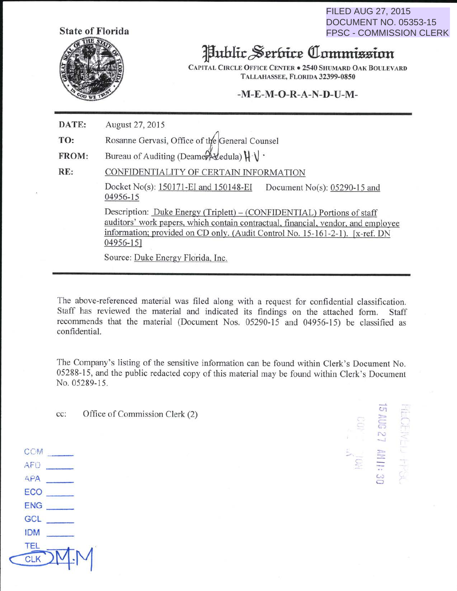**State of Florida** 

FILED AUG 27, 2015 DOCUMENT NO. 05353-15 FPSC - COMMISSION CLERK



## Juhlic~~rfttt~ **aiommiiminn**

CAPITAL CIRCLE OFFICE CENTER . 2540 SHUMARD OAK BOULEVARD TALLAHASSEE, FLORIDA 32399-0850

## **-M-E-M-0-R-A-N-D-U-M-**

**DATE: TO: FROM:**  RE: August 27, 2015 Rosanne Gervasi, Office of the General Counsel Bureau of Auditing (Deamer  $\forall$ edula)  $\{\ \}\ \$ CONFIDENTIALITY OF CERTAIN INFORMATION Docket No(s):  $150171$ -EI and  $150148$ -EI Document No(s):  $05290$ -15 and 04956-15 Description: Duke Energy (Triplett) – (CONFIDENTIAL) Portions of staff auditors' work papers. which contain contractual, financial, vendor, and employee information; provided on CD only. (Audit Control No. 15-161-2-1 ). [x-ref. DN 04956-15] Source: Duke Energy Florida, Inc.

The above-referenced material was filed along with a request for confidential classification. Staff has reviewed the material and indicated its findings on the attached form. Staff recommends that the material (Document Nos. 05290-15 and 04956-15) be classified as confidential.

The Company's listing of the sensitive information can be found within Clerk's Document No. 05288-15, and the public redacted copy of this material may be found within Clerk's Document No. 05289-15.

cc: Office of Commission Clerk (2)

- $\mathbb{C}$  $\mathbb{Z}$  .  $\sum$ 

CCM . The contract of the contract of the contract of the contract of the contract of the contract of  $\mathbb{C}$ AF<sub>D</sub> APA  $ECO$  $ENG$  $GCI$ IOM **TEL** CLK M.M